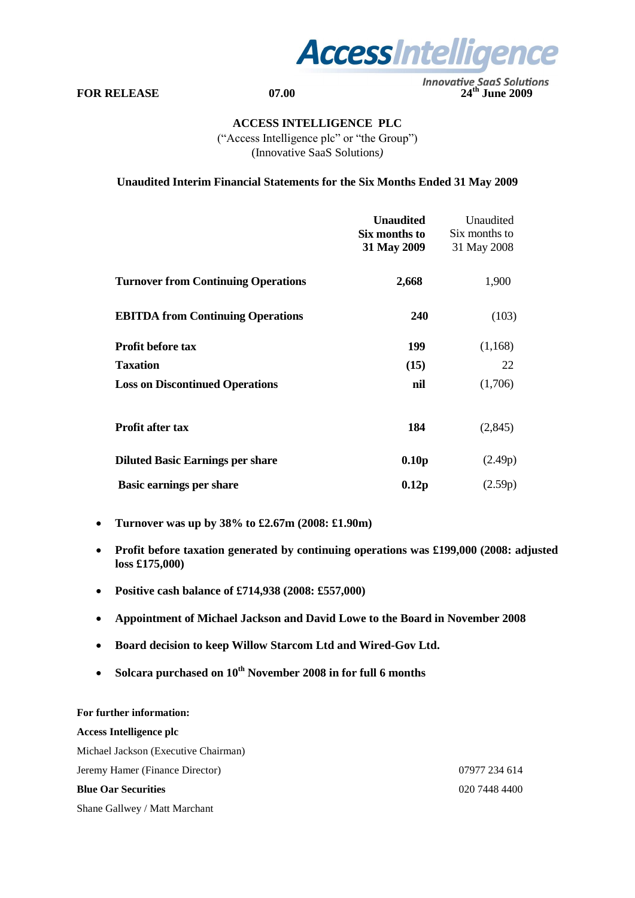

**FOR RELEASE 07.00 24<sup>th</sup> June 2009** 

## **ACCESS INTELLIGENCE PLC**

("Access Intelligence plc" or "the Group") (Innovative SaaS Solutions*)* 

**Unaudited Interim Financial Statements for the Six Months Ended 31 May 2009**

|                                            | <b>Unaudited</b><br>Six months to<br>31 May 2009 | Unaudited<br>Six months to<br>31 May 2008 |
|--------------------------------------------|--------------------------------------------------|-------------------------------------------|
| <b>Turnover from Continuing Operations</b> | 2,668                                            | 1,900                                     |
| <b>EBITDA</b> from Continuing Operations   | 240                                              | (103)                                     |
| <b>Profit before tax</b>                   | 199                                              | (1,168)                                   |
| <b>Taxation</b>                            | (15)                                             | 22                                        |
| <b>Loss on Discontinued Operations</b>     | nil                                              | (1,706)                                   |
| <b>Profit after tax</b>                    | 184                                              | (2,845)                                   |
| <b>Diluted Basic Earnings per share</b>    | 0.10 <sub>p</sub>                                | (2.49p)                                   |
| <b>Basic earnings per share</b>            | 0.12p                                            | (2.59p)                                   |

- **Turnover was up by 38% to £2.67m (2008: £1.90m)**
- **Profit before taxation generated by continuing operations was £199,000 (2008: adjusted loss £175,000)**
- **Positive cash balance of £714,938 (2008: £557,000)**
- **Appointment of Michael Jackson and David Lowe to the Board in November 2008**
- **Board decision to keep Willow Starcom Ltd and Wired-Gov Ltd.**
- **Solcara purchased on 10th November 2008 in for full 6 months**

# **For further information: Access Intelligence plc** Michael Jackson (Executive Chairman) Jeremy Hamer (Finance Director) 07977 234 614 **Blue Oar Securities** 020 7448 4400 Shane Gallwey / Matt Marchant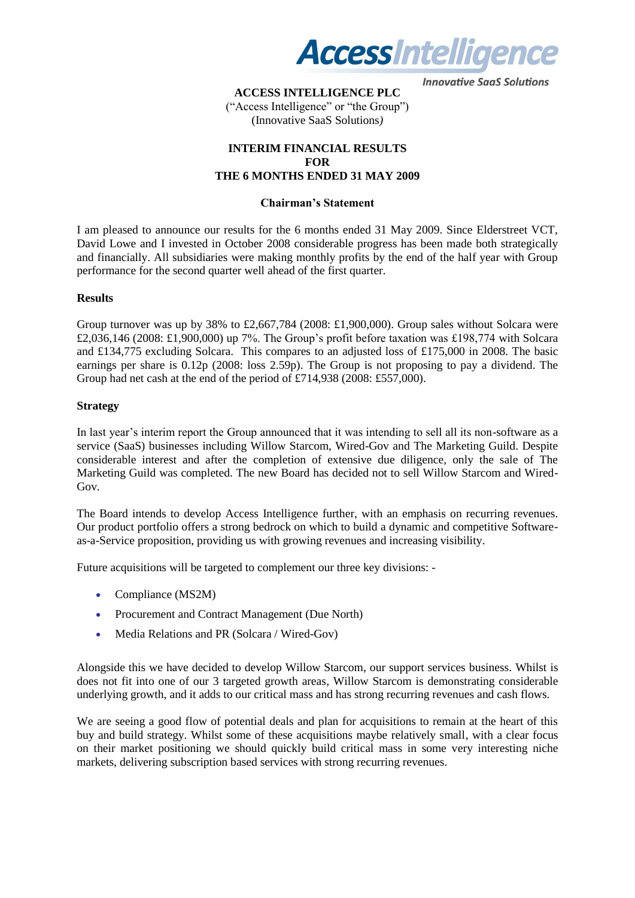

## **ACCESS INTELLIGENCE PLC**

("Access Intelligence" or "the Group") (Innovative SaaS Solutions*)* 

## **INTERIM FINANCIAL RESULTS FOR THE 6 MONTHS ENDED 31 MAY 2009**

## **Chairman's Statement**

I am pleased to announce our results for the 6 months ended 31 May 2009. Since Elderstreet VCT, David Lowe and I invested in October 2008 considerable progress has been made both strategically and financially. All subsidiaries were making monthly profits by the end of the half year with Group performance for the second quarter well ahead of the first quarter.

## **Results**

Group turnover was up by 38% to £2,667,784 (2008: £1,900,000). Group sales without Solcara were £2,036,146 (2008: £1,900,000) up 7%. The Group's profit before taxation was £198,774 with Solcara and £134,775 excluding Solcara. This compares to an adjusted loss of £175,000 in 2008. The basic earnings per share is 0.12p (2008: loss 2.59p). The Group is not proposing to pay a dividend. The Group had net cash at the end of the period of £714,938 (2008: £557,000).

## **Strategy**

In last year"s interim report the Group announced that it was intending to sell all its non-software as a service (SaaS) businesses including Willow Starcom, Wired-Gov and The Marketing Guild. Despite considerable interest and after the completion of extensive due diligence, only the sale of The Marketing Guild was completed. The new Board has decided not to sell Willow Starcom and Wired-Gov.

The Board intends to develop Access Intelligence further, with an emphasis on recurring revenues. Our product portfolio offers a strong bedrock on which to build a dynamic and competitive Softwareas-a-Service proposition, providing us with growing revenues and increasing visibility.

Future acquisitions will be targeted to complement our three key divisions: -

- Compliance (MS2M)
- Procurement and Contract Management (Due North)
- Media Relations and PR (Solcara / Wired-Gov)

Alongside this we have decided to develop Willow Starcom, our support services business. Whilst is does not fit into one of our 3 targeted growth areas, Willow Starcom is demonstrating considerable underlying growth, and it adds to our critical mass and has strong recurring revenues and cash flows.

We are seeing a good flow of potential deals and plan for acquisitions to remain at the heart of this buy and build strategy. Whilst some of these acquisitions maybe relatively small, with a clear focus on their market positioning we should quickly build critical mass in some very interesting niche markets, delivering subscription based services with strong recurring revenues.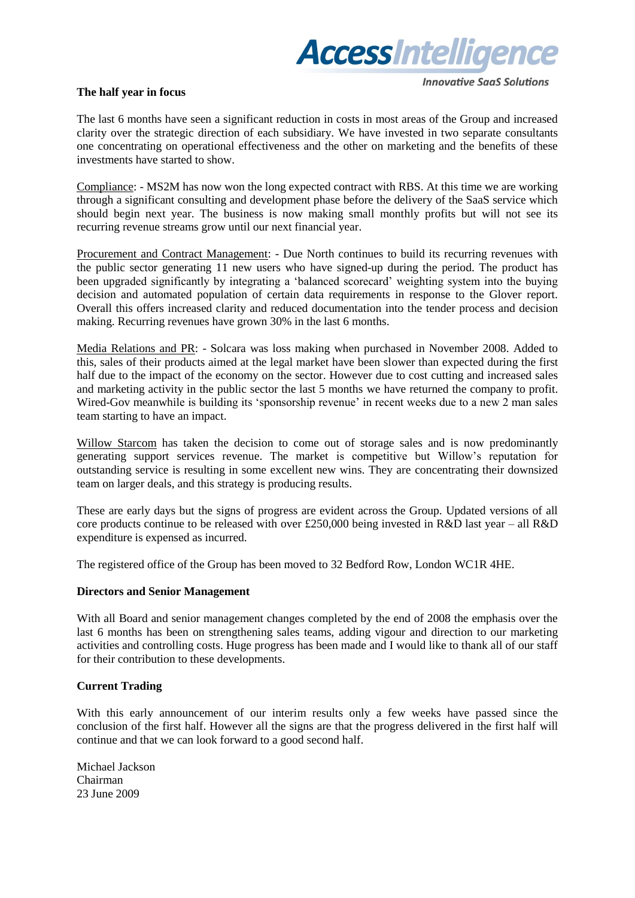

## **The half year in focus**

**Innovative SaaS Solutions** 

The last 6 months have seen a significant reduction in costs in most areas of the Group and increased clarity over the strategic direction of each subsidiary. We have invested in two separate consultants one concentrating on operational effectiveness and the other on marketing and the benefits of these investments have started to show.

Compliance: - MS2M has now won the long expected contract with RBS. At this time we are working through a significant consulting and development phase before the delivery of the SaaS service which should begin next year. The business is now making small monthly profits but will not see its recurring revenue streams grow until our next financial year.

Procurement and Contract Management: - Due North continues to build its recurring revenues with the public sector generating 11 new users who have signed-up during the period. The product has been upgraded significantly by integrating a "balanced scorecard" weighting system into the buying decision and automated population of certain data requirements in response to the Glover report. Overall this offers increased clarity and reduced documentation into the tender process and decision making. Recurring revenues have grown 30% in the last 6 months.

Media Relations and PR: - Solcara was loss making when purchased in November 2008. Added to this, sales of their products aimed at the legal market have been slower than expected during the first half due to the impact of the economy on the sector. However due to cost cutting and increased sales and marketing activity in the public sector the last 5 months we have returned the company to profit. Wired-Gov meanwhile is building its 'sponsorship revenue' in recent weeks due to a new 2 man sales team starting to have an impact.

Willow Starcom has taken the decision to come out of storage sales and is now predominantly generating support services revenue. The market is competitive but Willow"s reputation for outstanding service is resulting in some excellent new wins. They are concentrating their downsized team on larger deals, and this strategy is producing results.

These are early days but the signs of progress are evident across the Group. Updated versions of all core products continue to be released with over £250,000 being invested in R&D last year – all R&D expenditure is expensed as incurred.

The registered office of the Group has been moved to 32 Bedford Row, London WC1R 4HE.

#### **Directors and Senior Management**

With all Board and senior management changes completed by the end of 2008 the emphasis over the last 6 months has been on strengthening sales teams, adding vigour and direction to our marketing activities and controlling costs. Huge progress has been made and I would like to thank all of our staff for their contribution to these developments.

## **Current Trading**

With this early announcement of our interim results only a few weeks have passed since the conclusion of the first half. However all the signs are that the progress delivered in the first half will continue and that we can look forward to a good second half.

Michael Jackson Chairman 23 June 2009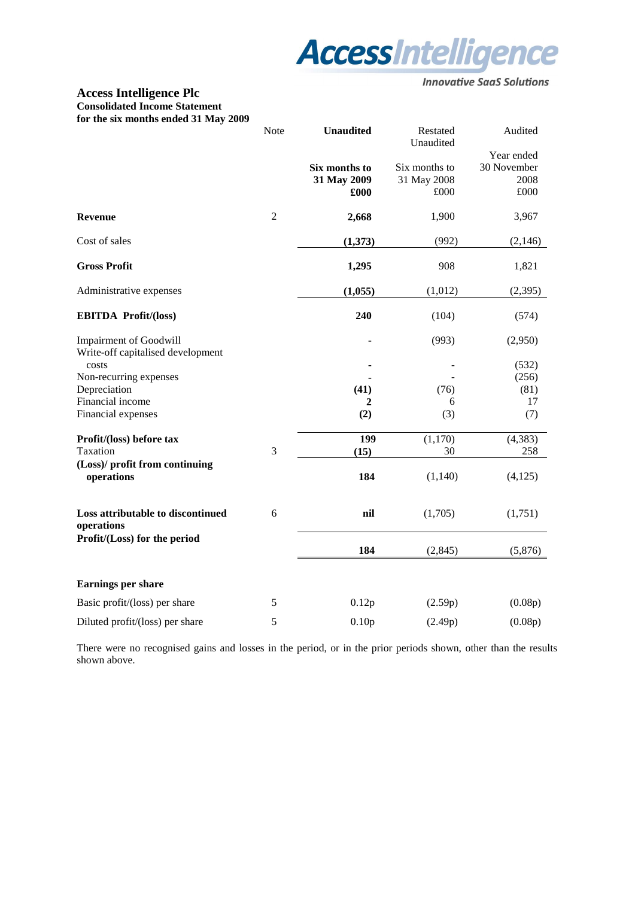

## **Access Intelligence Plc Consolidated Income Statement for the six months ended 31 May 2009**

| TOT THE SIX HIGHTIS CHUCU 31 IVIAY 2002                            | Note<br><b>Unaudited</b> |                                      | Restated<br>Unaudited                | Audited                                   |
|--------------------------------------------------------------------|--------------------------|--------------------------------------|--------------------------------------|-------------------------------------------|
|                                                                    |                          | Six months to<br>31 May 2009<br>£000 | Six months to<br>31 May 2008<br>£000 | Year ended<br>30 November<br>2008<br>£000 |
| <b>Revenue</b>                                                     | $\sqrt{2}$               | 2,668                                | 1,900                                | 3,967                                     |
| Cost of sales                                                      |                          | (1,373)                              | (992)                                | (2,146)                                   |
| <b>Gross Profit</b>                                                |                          | 1,295                                | 908                                  | 1,821                                     |
| Administrative expenses                                            |                          | (1,055)                              | (1,012)                              | (2,395)                                   |
| <b>EBITDA Profit/(loss)</b>                                        |                          | 240                                  | (104)                                | (574)                                     |
| <b>Impairment of Goodwill</b><br>Write-off capitalised development |                          |                                      | (993)                                | (2,950)                                   |
| costs                                                              |                          |                                      |                                      | (532)                                     |
| Non-recurring expenses                                             |                          |                                      | (76)                                 | (256)<br>(81)                             |
| Depreciation<br>Financial income                                   |                          | (41)<br>2                            | 6                                    | 17                                        |
| Financial expenses                                                 |                          | (2)                                  | (3)                                  | (7)                                       |
| Profit/(loss) before tax                                           |                          | 199                                  | (1,170)                              | (4, 383)                                  |
| Taxation                                                           | 3                        | (15)                                 | 30                                   | 258                                       |
| (Loss)/ profit from continuing<br>operations                       |                          | 184                                  | (1,140)                              | (4, 125)                                  |
| Loss attributable to discontinued<br>operations                    | 6                        | nil                                  | (1,705)                              | (1,751)                                   |
| Profit/(Loss) for the period                                       |                          | 184                                  | (2, 845)                             | (5,876)                                   |
| Earnings per share                                                 |                          |                                      |                                      |                                           |
| Basic profit/(loss) per share                                      | $\sqrt{5}$               | 0.12p                                | (2.59p)                              | (0.08p)                                   |
| Diluted profit/(loss) per share                                    | 5                        | 0.10p                                | (2.49p)                              | (0.08p)                                   |

There were no recognised gains and losses in the period, or in the prior periods shown, other than the results shown above.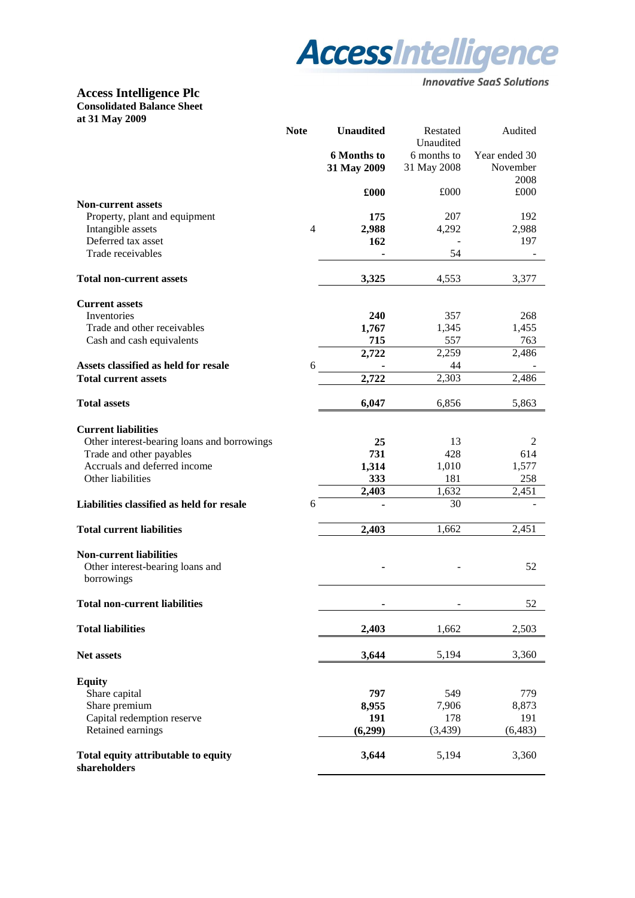

## **Access Intelligence Plc Consolidated Balance Sheet at 31 May 2009**

|                                                     | <b>Note</b> | <b>Unaudited</b>                  | Restated<br>Unaudited      | Audited                   |
|-----------------------------------------------------|-------------|-----------------------------------|----------------------------|---------------------------|
|                                                     |             | <b>6 Months to</b><br>31 May 2009 | 6 months to<br>31 May 2008 | Year ended 30<br>November |
|                                                     |             | £000                              | £000                       | 2008<br>£000              |
| <b>Non-current assets</b>                           |             |                                   |                            |                           |
| Property, plant and equipment                       |             | 175                               | 207                        | 192                       |
| Intangible assets                                   | 4           | 2,988                             | 4,292                      | 2,988                     |
| Deferred tax asset                                  |             | 162                               |                            | 197                       |
| Trade receivables                                   |             |                                   | 54                         |                           |
| <b>Total non-current assets</b>                     |             | 3,325                             | 4,553                      | 3,377                     |
| <b>Current assets</b>                               |             |                                   |                            |                           |
| Inventories                                         |             | 240                               | 357                        | 268                       |
| Trade and other receivables                         |             | 1,767                             | 1,345                      | 1,455                     |
| Cash and cash equivalents                           |             | 715                               | 557                        | 763                       |
|                                                     |             | 2,722                             | 2,259                      | 2,486                     |
| Assets classified as held for resale                | 6           |                                   | 44                         |                           |
| <b>Total current assets</b>                         |             | 2,722                             | 2,303                      | 2,486                     |
| <b>Total assets</b>                                 |             | 6,047                             | 6,856                      | 5,863                     |
| <b>Current liabilities</b>                          |             |                                   |                            |                           |
| Other interest-bearing loans and borrowings         |             | 25                                | 13                         | 2                         |
| Trade and other payables                            |             | 731                               | 428                        | 614                       |
| Accruals and deferred income                        |             | 1,314                             | 1,010                      | 1,577                     |
| Other liabilities                                   |             | 333                               | 181                        | 258                       |
|                                                     |             | 2,403                             | 1,632                      | 2,451                     |
| Liabilities classified as held for resale           | 6           |                                   | 30                         |                           |
| <b>Total current liabilities</b>                    |             | 2,403                             | 1,662                      | 2,451                     |
| <b>Non-current liabilities</b>                      |             |                                   |                            |                           |
| Other interest-bearing loans and<br>borrowings      |             |                                   |                            | 52                        |
| <b>Total non-current liabilities</b>                |             |                                   |                            | 52                        |
| <b>Total liabilities</b>                            |             | 2,403                             | 1,662                      | 2,503                     |
| <b>Net assets</b>                                   |             | 3,644                             | 5,194                      | 3,360                     |
| <b>Equity</b>                                       |             |                                   |                            |                           |
| Share capital                                       |             | 797                               | 549                        | 779                       |
| Share premium                                       |             | 8,955                             | 7,906                      | 8,873                     |
| Capital redemption reserve                          |             | 191                               | 178                        | 191                       |
| Retained earnings                                   |             | (6,299)                           | (3, 439)                   | (6, 483)                  |
| Total equity attributable to equity<br>shareholders |             | 3,644                             | 5,194                      | 3,360                     |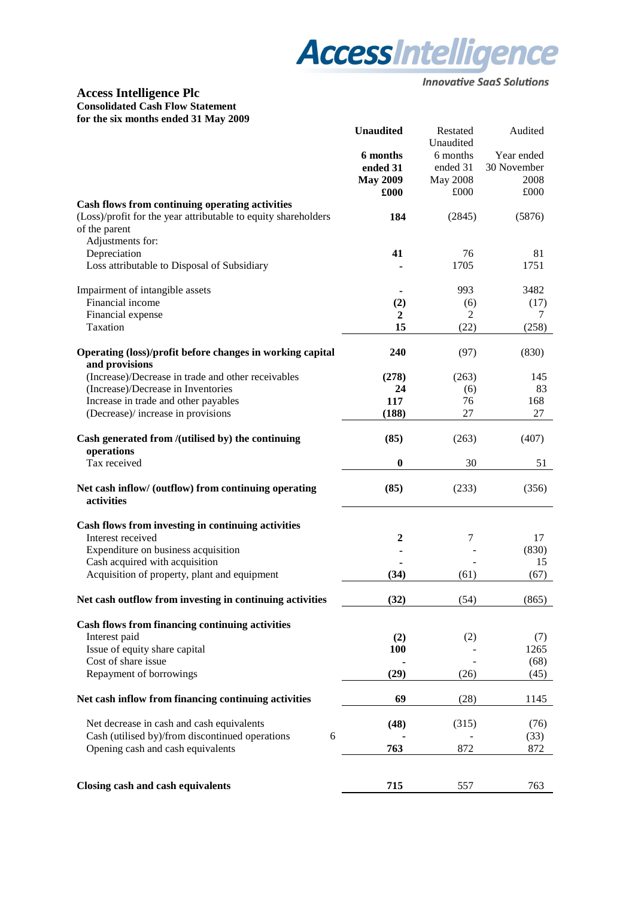

## **Access Intelligence Plc Consolidated Cash Flow Statement for the six months ended 31 May 2009**

|                                                                                 | <b>Unaudited</b> | Restated<br>Unaudited | Audited     |
|---------------------------------------------------------------------------------|------------------|-----------------------|-------------|
|                                                                                 | 6 months         | 6 months              | Year ended  |
|                                                                                 | ended 31         | ended 31              | 30 November |
|                                                                                 | <b>May 2009</b>  | May 2008              | 2008        |
|                                                                                 | £000             | £000                  | £000        |
| Cash flows from continuing operating activities                                 |                  |                       |             |
| (Loss)/profit for the year attributable to equity shareholders<br>of the parent | 184              | (2845)                | (5876)      |
| Adjustments for:                                                                |                  |                       |             |
| Depreciation                                                                    | 41               | 76                    | 81          |
| Loss attributable to Disposal of Subsidiary                                     |                  | 1705                  | 1751        |
| Impairment of intangible assets                                                 |                  | 993                   | 3482        |
| Financial income                                                                | (2)              | (6)                   | (17)        |
| Financial expense                                                               | 2                | 2                     | 7           |
| Taxation                                                                        | 15               | (22)                  | (258)       |
|                                                                                 |                  |                       |             |
| Operating (loss)/profit before changes in working capital<br>and provisions     | 240              | (97)                  | (830)       |
| (Increase)/Decrease in trade and other receivables                              | (278)            | (263)                 | 145         |
| (Increase)/Decrease in Inventories                                              | 24               | (6)                   | 83          |
| Increase in trade and other payables                                            | 117              | 76                    | 168         |
| (Decrease)/ increase in provisions                                              | (188)            | 27                    | 27          |
| Cash generated from /(utilised by) the continuing<br>operations                 | (85)             | (263)                 | (407)       |
| Tax received                                                                    | $\bf{0}$         | 30                    | 51          |
|                                                                                 |                  |                       |             |
| Net cash inflow/ (outflow) from continuing operating<br>activities              | (85)             | (233)                 | (356)       |
| Cash flows from investing in continuing activities                              |                  |                       |             |
| Interest received                                                               | 2                | 7                     | 17          |
| Expenditure on business acquisition                                             |                  |                       | (830)       |
| Cash acquired with acquisition                                                  |                  |                       | 15          |
| Acquisition of property, plant and equipment                                    | (34)             | (61)                  | (67)        |
|                                                                                 |                  |                       |             |
| Net cash outflow from investing in continuing activities                        | (32)             | (54)                  | (865)       |
| <b>Cash flows from financing continuing activities</b>                          |                  |                       |             |
| Interest paid                                                                   | (2)              | (2)                   | (7)         |
| Issue of equity share capital                                                   | <b>100</b>       |                       | 1265        |
| Cost of share issue                                                             |                  |                       | (68)        |
| Repayment of borrowings                                                         | (29)             | (26)                  | (45)        |
|                                                                                 |                  |                       |             |
| Net cash inflow from financing continuing activities                            | 69               | (28)                  | 1145        |
| Net decrease in cash and cash equivalents                                       | (48)             | (315)                 | (76)        |
| Cash (utilised by)/from discontinued operations<br>6                            |                  |                       | (33)        |
| Opening cash and cash equivalents                                               | 763              | 872                   | 872         |
|                                                                                 |                  |                       |             |
| Closing cash and cash equivalents                                               | 715              | 557                   | 763         |
|                                                                                 |                  |                       |             |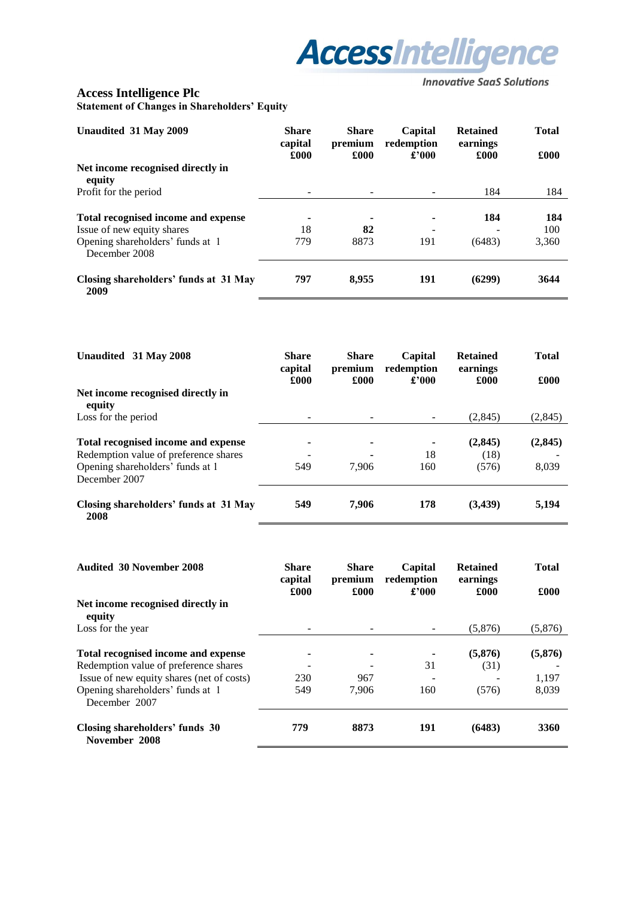

## **Access Intelligence Plc Statement of Changes in Shareholders' Equity**

| Unaudited 31 May 2009                                                                                 | <b>Share</b><br>capital<br>£000 | <b>Share</b><br>premium<br>£000 | Capital<br>redemption<br>£2000                    | <b>Retained</b><br>earnings<br>£000 | <b>Total</b><br>£000 |
|-------------------------------------------------------------------------------------------------------|---------------------------------|---------------------------------|---------------------------------------------------|-------------------------------------|----------------------|
| Net income recognised directly in<br>equity                                                           |                                 |                                 |                                                   |                                     |                      |
| Profit for the period                                                                                 |                                 |                                 | $\overline{\phantom{0}}$                          | 184                                 | 184                  |
| Total recognised income and expense<br>Issue of new equity shares<br>Opening shareholders' funds at 1 | ٠<br>18<br>779                  | $\blacksquare$<br>82<br>8873    | $\blacksquare$<br>$\overline{\phantom{a}}$<br>191 | 184<br>(6483)                       | 184<br>100<br>3,360  |
| December 2008                                                                                         |                                 |                                 |                                                   |                                     |                      |
| Closing shareholders' funds at 31 May<br>2009                                                         | 797                             | 8,955                           | 191                                               | (6299)                              | 3644                 |

| Unaudited 31 May 2008                         | <b>Share</b><br>capital<br>£000 | <b>Share</b><br>premium<br>£000 | Capital<br>redemption<br>£2000 | <b>Retained</b><br>earnings<br>£000 | <b>Total</b><br>£000 |
|-----------------------------------------------|---------------------------------|---------------------------------|--------------------------------|-------------------------------------|----------------------|
| Net income recognised directly in<br>equity   |                                 |                                 |                                |                                     |                      |
| Loss for the period                           |                                 |                                 |                                | (2,845)                             | (2,845)              |
| Total recognised income and expense           |                                 |                                 |                                | (2, 845)                            | (2, 845)             |
| Redemption value of preference shares         |                                 | ۰                               | 18                             | (18)                                |                      |
| Opening shareholders' funds at 1              | 549                             | 7.906                           | 160                            | (576)                               | 8,039                |
| December 2007                                 |                                 |                                 |                                |                                     |                      |
| Closing shareholders' funds at 31 May<br>2008 | 549                             | 7.906                           | 178                            | (3,439)                             | 5,194                |

| <b>Audited 30 November 2008</b>                   | <b>Share</b><br>capital<br>£000 | <b>Share</b><br>premium<br>£000 | Capital<br>redemption<br>£'000 | <b>Retained</b><br>earnings<br>£000 | <b>Total</b><br>£000 |
|---------------------------------------------------|---------------------------------|---------------------------------|--------------------------------|-------------------------------------|----------------------|
| Net income recognised directly in<br>equity       |                                 |                                 |                                |                                     |                      |
| Loss for the year                                 |                                 |                                 |                                | (5,876)                             | (5,876)              |
| Total recognised income and expense               |                                 |                                 |                                | (5, 876)                            | (5,876)              |
| Redemption value of preference shares             |                                 |                                 | 31                             | (31)                                |                      |
| Issue of new equity shares (net of costs)         | 230                             | 967                             |                                |                                     | 1,197                |
| Opening shareholders' funds at 1<br>December 2007 | 549                             | 7.906                           | 160                            | (576)                               | 8,039                |
| Closing shareholders' funds 30<br>November 2008   | 779                             | 8873                            | 191                            | (6483)                              | 3360                 |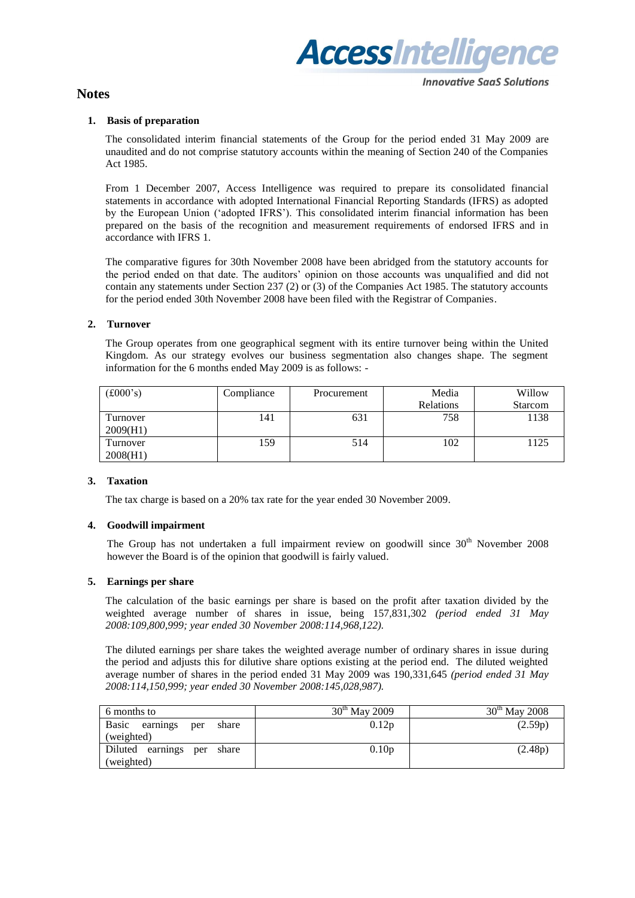

## **Notes**

#### **Innovative SaaS Solutions**

#### **1. Basis of preparation**

The consolidated interim financial statements of the Group for the period ended 31 May 2009 are unaudited and do not comprise statutory accounts within the meaning of Section 240 of the Companies Act 1985.

From 1 December 2007, Access Intelligence was required to prepare its consolidated financial statements in accordance with adopted International Financial Reporting Standards (IFRS) as adopted by the European Union ("adopted IFRS"). This consolidated interim financial information has been prepared on the basis of the recognition and measurement requirements of endorsed IFRS and in accordance with IFRS 1.

The comparative figures for 30th November 2008 have been abridged from the statutory accounts for the period ended on that date. The auditors" opinion on those accounts was unqualified and did not contain any statements under Section 237 (2) or (3) of the Companies Act 1985. The statutory accounts for the period ended 30th November 2008 have been filed with the Registrar of Companies.

#### **2. Turnover**

The Group operates from one geographical segment with its entire turnover being within the United Kingdom. As our strategy evolves our business segmentation also changes shape. The segment information for the 6 months ended May 2009 is as follows: -

| $(\text{\pounds}000\text{'s})$ | Compliance | Procurement | Media     | Willow         |
|--------------------------------|------------|-------------|-----------|----------------|
|                                |            |             | Relations | <b>Starcom</b> |
| Turnover<br>2009(H1)           | 141        | 631         | 758       | 1138           |
| l`urnover<br>2008(H1)          | 159        | 514         | 102       | 1125           |

#### **3. Taxation**

The tax charge is based on a 20% tax rate for the year ended 30 November 2009.

#### **4. Goodwill impairment**

The Group has not undertaken a full impairment review on goodwill since  $30<sup>th</sup>$  November 2008 however the Board is of the opinion that goodwill is fairly valued.

#### **5. Earnings per share**

The calculation of the basic earnings per share is based on the profit after taxation divided by the weighted average number of shares in issue, being 157,831,302 *(period ended 31 May 2008:109,800,999; year ended 30 November 2008:114,968,122).* 

The diluted earnings per share takes the weighted average number of ordinary shares in issue during the period and adjusts this for dilutive share options existing at the period end. The diluted weighted average number of shares in the period ended 31 May 2009 was 190,331,645 *(period ended 31 May 2008:114,150,999; year ended 30 November 2008:145,028,987).*

| 6 months to                                     | $30^{th}$ May 2009 | $30th$ May 2008 |
|-------------------------------------------------|--------------------|-----------------|
| Basic<br>share<br>earnings<br>per<br>(weighted) | 0.12p              | (2.59p)         |
| Diluted earnings per share<br>(weighted)        | 0.10 <sub>p</sub>  | (2.48p)         |